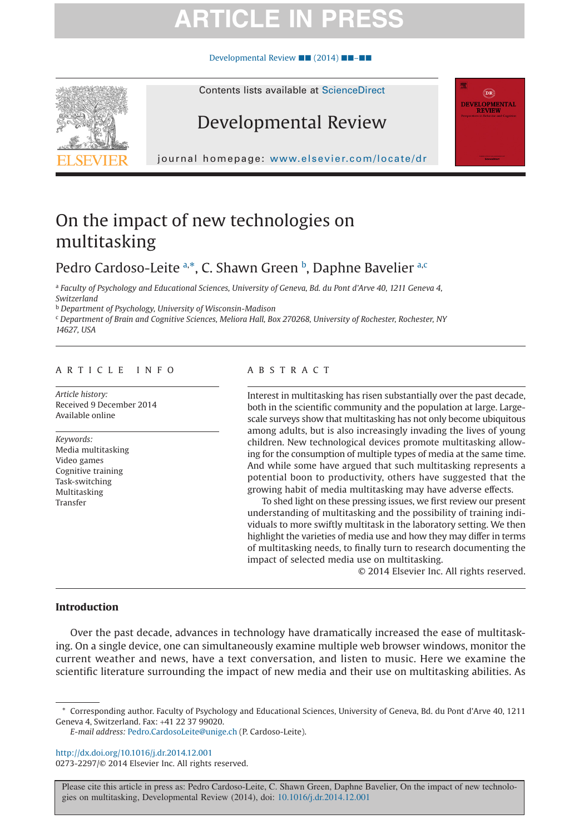Developmental Review ■■ (2014) ■■–■■



Contents lists available at ScienceDirect

### Developmental Review

journal homepage: [www.elsevier.com/locate/dr](http://www.elsevier.com/locate/dr)

### On the impact of new technologies on multitasking

### Pedro Cardoso-Leite [a,](#page-0-0)[\\*,](#page-0-1) C. Shawn Green <sup>[b](#page-0-2)</sup>, D[a](#page-0-0)phne Bavelier a[,c](#page-0-3)

<span id="page-0-0"></span><sup>a</sup> *Faculty of Psychology and Educational Sciences, University of Geneva, Bd. du Pont d'Arve 40, 1211 Geneva 4, Switzerland*

<span id="page-0-2"></span><sup>b</sup> *Department of Psychology, University of Wisconsin-Madison*

<span id="page-0-3"></span><sup>c</sup> *Department of Brain and Cognitive Sciences, Meliora Hall, Box 270268, University of Rochester, Rochester, NY 14627, USA*

#### ARTICLE INFO

*Article history:* Received 9 December 2014 Available online

*Keywords:* Media multitasking Video games Cognitive training Task-switching Multitasking Transfer

#### ABSTRACT

Interest in multitasking has risen substantially over the past decade, both in the scientific community and the population at large. Largescale surveys show that multitasking has not only become ubiquitous among adults, but is also increasingly invading the lives of young children. New technological devices promote multitasking allowing for the consumption of multiple types of media at the same time. And while some have argued that such multitasking represents a potential boon to productivity, others have suggested that the growing habit of media multitasking may have adverse effects.

To shed light on these pressing issues, we first review our present understanding of multitasking and the possibility of training individuals to more swiftly multitask in the laboratory setting. We then highlight the varieties of media use and how they may differ in terms of multitasking needs, to finally turn to research documenting the impact of selected media use on multitasking.

© 2014 Elsevier Inc. All rights reserved.

**DR** DEVELOPMENTAL

#### **Introduction**

Over the past decade, advances in technology have dramatically increased the ease of multitasking. On a single device, one can simultaneously examine multiple web browser windows, monitor the current weather and news, have a text conversation, and listen to music. Here we examine the scientific literature surrounding the impact of new media and their use on multitasking abilities. As

*E-mail address:* [Pedro.CardosoLeite@unige.ch](mailto:Pedro.CardosoLeite@unige.ch) (P. Cardoso-Leite).

http://dx.doi.org/10.1016/j.dr.2014.12.001 0273-2297/© 2014 Elsevier Inc. All rights reserved.

<span id="page-0-1"></span><sup>\*</sup> Corresponding author. Faculty of Psychology and Educational Sciences, University of Geneva, Bd. du Pont d'Arve 40, 1211 Geneva 4, Switzerland. Fax: +41 22 37 99020.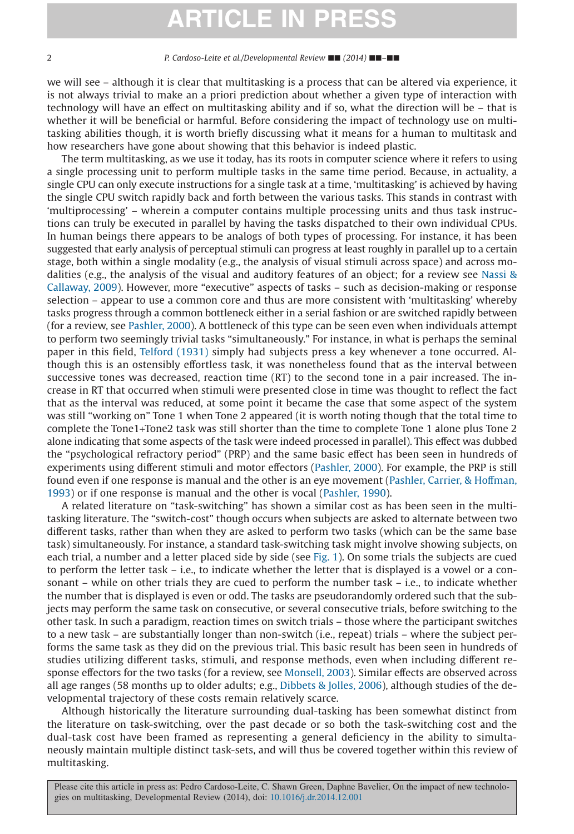#### 2 *P. Cardoso-Leite et al./Developmental Review* ■■ *(2014)* ■■*–*■■

we will see – although it is clear that multitasking is a process that can be altered via experience, it is not always trivial to make an a priori prediction about whether a given type of interaction with technology will have an effect on multitasking ability and if so, what the direction will be – that is whether it will be beneficial or harmful. Before considering the impact of technology use on multitasking abilities though, it is worth briefly discussing what it means for a human to multitask and how researchers have gone about showing that this behavior is indeed plastic.

The term multitasking, as we use it today, has its roots in computer science where it refers to using a single processing unit to perform multiple tasks in the same time period. Because, in actuality, a single CPU can only execute instructions for a single task at a time, 'multitasking' is achieved by having the single CPU switch rapidly back and forth between the various tasks. This stands in contrast with 'multiprocessing' – wherein a computer contains multiple processing units and thus task instructions can truly be executed in parallel by having the tasks dispatched to their own individual CPUs. In human beings there appears to be analogs of both types of processing. For instance, it has been suggested that early analysis of perceptual stimuli can progress at least roughly in parallel up to a certain stage, both within a single modality (e.g., the analysis of visual stimuli across space) and across modalities (e.g., the analysis of the visual and auditory features of an object; for a review see [Nassi &](#page-14-0) [Callaway, 2009\)](#page-14-0). However, more "executive" aspects of tasks – such as decision-making or response selection – appear to use a common core and thus are more consistent with 'multitasking' whereby tasks progress through a common bottleneck either in a serial fashion or are switched rapidly between (for a review, see [Pashler, 2000\)](#page-14-1). A bottleneck of this type can be seen even when individuals attempt to perform two seemingly trivial tasks "simultaneously." For instance, in what is perhaps the seminal paper in this field, [Telford \(1931\)](#page-14-2) simply had subjects press a key whenever a tone occurred. Although this is an ostensibly effortless task, it was nonetheless found that as the interval between successive tones was decreased, reaction time (RT) to the second tone in a pair increased. The increase in RT that occurred when stimuli were presented close in time was thought to reflect the fact that as the interval was reduced, at some point it became the case that some aspect of the system was still "working on" Tone 1 when Tone 2 appeared (it is worth noting though that the total time to complete the Tone1+Tone2 task was still shorter than the time to complete Tone 1 alone plus Tone 2 alone indicating that some aspects of the task were indeed processed in parallel). This effect was dubbed the "psychological refractory period" (PRP) and the same basic effect has been seen in hundreds of experiments using different stimuli and motor effectors [\(Pashler, 2000\)](#page-14-1). For example, the PRP is still found even if one response is manual and the other is an eye movement [\(Pashler, Carrier, & Hoffman,](#page-14-3) [1993\)](#page-14-3) or if one response is manual and the other is vocal [\(Pashler, 1990\)](#page-14-4).

A related literature on "task-switching" has shown a similar cost as has been seen in the multitasking literature. The "switch-cost" though occurs when subjects are asked to alternate between two different tasks, rather than when they are asked to perform two tasks (which can be the same base task) simultaneously. For instance, a standard task-switching task might involve showing subjects, on each trial, a number and a letter placed side by side (see [Fig. 1\)](#page-2-0). On some trials the subjects are cued to perform the letter task – i.e., to indicate whether the letter that is displayed is a vowel or a consonant – while on other trials they are cued to perform the number task – i.e., to indicate whether the number that is displayed is even or odd. The tasks are pseudorandomly ordered such that the subjects may perform the same task on consecutive, or several consecutive trials, before switching to the other task. In such a paradigm, reaction times on switch trials – those where the participant switches to a new task – are substantially longer than non-switch (i.e., repeat) trials – where the subject performs the same task as they did on the previous trial. This basic result has been seen in hundreds of studies utilizing different tasks, stimuli, and response methods, even when including different response effectors for the two tasks (for a review, see [Monsell, 2003\)](#page-14-5). Similar effects are observed across all age ranges (58 months up to older adults; e.g., [Dibbets & Jolles, 2006\)](#page-13-0), although studies of the developmental trajectory of these costs remain relatively scarce.

Although historically the literature surrounding dual-tasking has been somewhat distinct from the literature on task-switching, over the past decade or so both the task-switching cost and the dual-task cost have been framed as representing a general deficiency in the ability to simultaneously maintain multiple distinct task-sets, and will thus be covered together within this review of multitasking.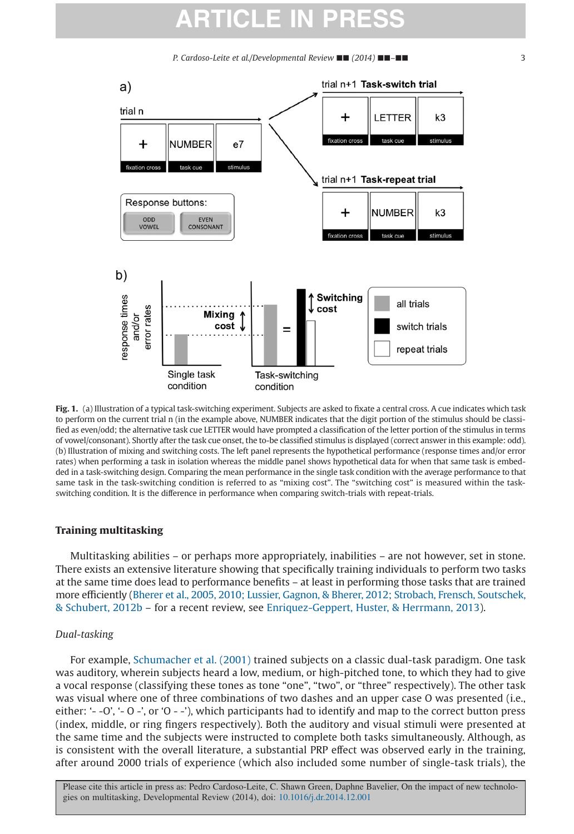## **ARTICLE IN P**

*P. Cardoso-Leite et al./Developmental Review* ■■ *(2014)* ■■*–*■■ 3

<span id="page-2-0"></span>

**Fig. 1.** (a) Illustration of a typical task-switching experiment. Subjects are asked to fixate a central cross. A cue indicates which task to perform on the current trial n (in the example above, NUMBER indicates that the digit portion of the stimulus should be classified as even/odd; the alternative task cue LETTER would have prompted a classification of the letter portion of the stimulus in terms of vowel/consonant). Shortly after the task cue onset, the to-be classified stimulus is displayed (correct answer in this example: odd). (b) Illustration of mixing and switching costs. The left panel represents the hypothetical performance (response times and/or error rates) when performing a task in isolation whereas the middle panel shows hypothetical data for when that same task is embedded in a task-switching design. Comparing the mean performance in the single task condition with the average performance to that same task in the task-switching condition is referred to as "mixing cost". The "switching cost" is measured within the taskswitching condition. It is the difference in performance when comparing switch-trials with repeat-trials.

#### **Training multitasking**

Multitasking abilities – or perhaps more appropriately, inabilities – are not however, set in stone. There exists an extensive literature showing that specifically training individuals to perform two tasks at the same time does lead to performance benefits – at least in performing those tasks that are trained more efficiently [\(Bherer et al., 2005, 2010; Lussier, Gagnon, & Bherer, 2012; Strobach, Frensch, Soutschek,](#page-12-0) [& Schubert, 2012b](#page-12-0) – for a recent review, see [Enriquez-Geppert, Huster, & Herrmann, 2013\)](#page-13-1).

#### *Dual-tasking*

For example, [Schumacher et al. \(2001\)](#page-14-6) trained subjects on a classic dual-task paradigm. One task was auditory, wherein subjects heard a low, medium, or high-pitched tone, to which they had to give a vocal response (classifying these tones as tone "one", "two", or "three" respectively). The other task was visual where one of three combinations of two dashes and an upper case O was presented (i.e., either: '- -O', '- O -', or 'O - -'), which participants had to identify and map to the correct button press (index, middle, or ring fingers respectively). Both the auditory and visual stimuli were presented at the same time and the subjects were instructed to complete both tasks simultaneously. Although, as is consistent with the overall literature, a substantial PRP effect was observed early in the training, after around 2000 trials of experience (which also included some number of single-task trials), the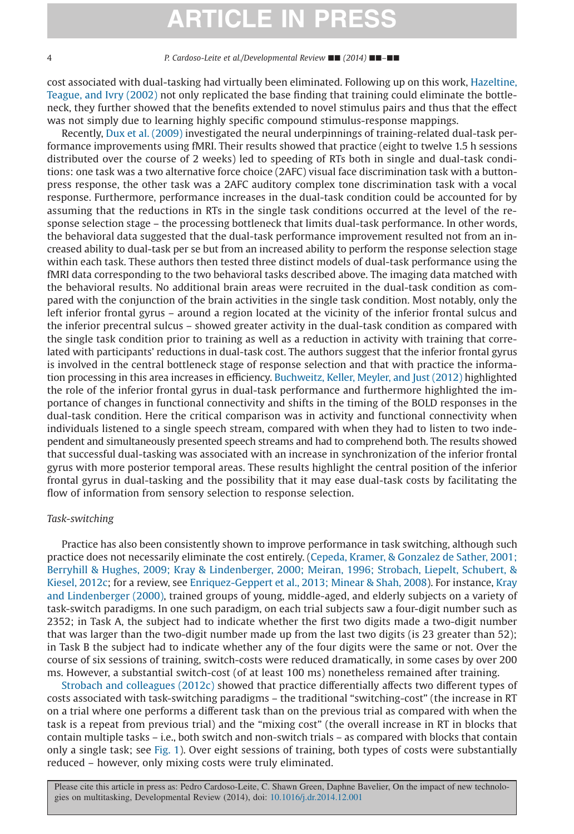#### 4 *P. Cardoso-Leite et al./Developmental Review* ■■ *(2014)* ■■*–*■■

cost associated with dual-tasking had virtually been eliminated. Following up on this work, [Hazeltine,](#page-13-2) [Teague, and Ivry \(2002\)](#page-13-2) not only replicated the base finding that training could eliminate the bottleneck, they further showed that the benefits extended to novel stimulus pairs and thus that the effect was not simply due to learning highly specific compound stimulus-response mappings.

Recently, [Dux et al. \(2009\)](#page-13-3) investigated the neural underpinnings of training-related dual-task performance improvements using fMRI. Their results showed that practice (eight to twelve 1.5 h sessions distributed over the course of 2 weeks) led to speeding of RTs both in single and dual-task conditions: one task was a two alternative force choice (2AFC) visual face discrimination task with a buttonpress response, the other task was a 2AFC auditory complex tone discrimination task with a vocal response. Furthermore, performance increases in the dual-task condition could be accounted for by assuming that the reductions in RTs in the single task conditions occurred at the level of the response selection stage – the processing bottleneck that limits dual-task performance. In other words, the behavioral data suggested that the dual-task performance improvement resulted not from an increased ability to dual-task per se but from an increased ability to perform the response selection stage within each task. These authors then tested three distinct models of dual-task performance using the fMRI data corresponding to the two behavioral tasks described above. The imaging data matched with the behavioral results. No additional brain areas were recruited in the dual-task condition as compared with the conjunction of the brain activities in the single task condition. Most notably, only the left inferior frontal gyrus – around a region located at the vicinity of the inferior frontal sulcus and the inferior precentral sulcus – showed greater activity in the dual-task condition as compared with the single task condition prior to training as well as a reduction in activity with training that correlated with participants' reductions in dual-task cost. The authors suggest that the inferior frontal gyrus is involved in the central bottleneck stage of response selection and that with practice the information processing in this area increases in efficiency. [Buchweitz, Keller, Meyler, and Just \(2012\)](#page-12-1) highlighted the role of the inferior frontal gyrus in dual-task performance and furthermore highlighted the importance of changes in functional connectivity and shifts in the timing of the BOLD responses in the dual-task condition. Here the critical comparison was in activity and functional connectivity when individuals listened to a single speech stream, compared with when they had to listen to two independent and simultaneously presented speech streams and had to comprehend both. The results showed that successful dual-tasking was associated with an increase in synchronization of the inferior frontal gyrus with more posterior temporal areas. These results highlight the central position of the inferior frontal gyrus in dual-tasking and the possibility that it may ease dual-task costs by facilitating the flow of information from sensory selection to response selection.

#### *Task-switching*

Practice has also been consistently shown to improve performance in task switching, although such practice does not necessarily eliminate the cost entirely. [\(Cepeda, Kramer, & Gonzalez de Sather, 2001;](#page-13-4) [Berryhill & Hughes, 2009; Kray & Lindenberger, 2000; Meiran, 1996; Strobach, Liepelt, Schubert, &](#page-13-4) [Kiesel, 2012c;](#page-13-4) for a review, see [Enriquez-Geppert et al., 2013; Minear & Shah, 2008\)](#page-13-1). For instance, [Kray](#page-13-5) [and Lindenberger \(2000\),](#page-13-5) trained groups of young, middle-aged, and elderly subjects on a variety of task-switch paradigms. In one such paradigm, on each trial subjects saw a four-digit number such as 2352; in Task A, the subject had to indicate whether the first two digits made a two-digit number that was larger than the two-digit number made up from the last two digits (is 23 greater than 52); in Task B the subject had to indicate whether any of the four digits were the same or not. Over the course of six sessions of training, switch-costs were reduced dramatically, in some cases by over 200 ms. However, a substantial switch-cost (of at least 100 ms) nonetheless remained after training.

[Strobach and colleagues \(2012c\)](#page-14-7) showed that practice differentially affects two different types of costs associated with task-switching paradigms – the traditional "switching-cost" (the increase in RT on a trial where one performs a different task than on the previous trial as compared with when the task is a repeat from previous trial) and the "mixing cost" (the overall increase in RT in blocks that contain multiple tasks – i.e., both switch and non-switch trials – as compared with blocks that contain only a single task; see [Fig. 1\)](#page-2-0). Over eight sessions of training, both types of costs were substantially reduced – however, only mixing costs were truly eliminated.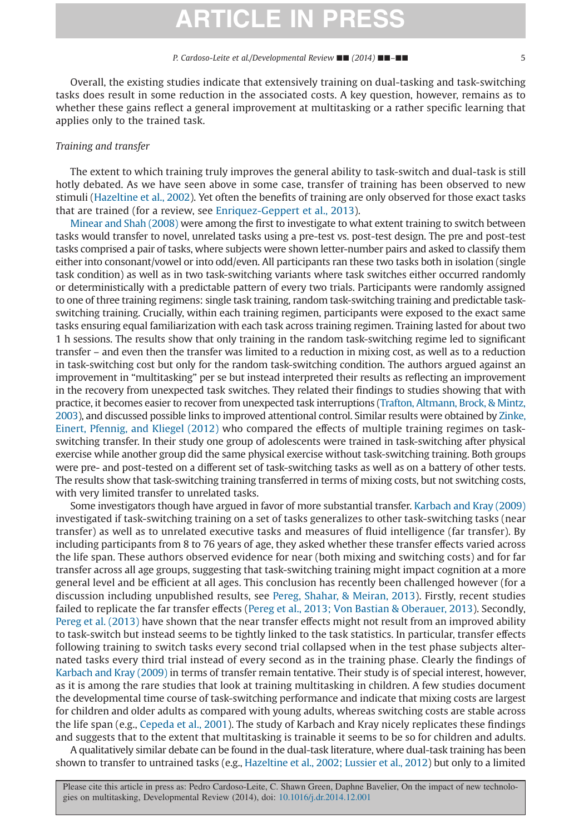#### *P. Cardoso-Leite et al./Developmental Review* ■■ *(2014)* ■■*–*■■ 5

Overall, the existing studies indicate that extensively training on dual-tasking and task-switching tasks does result in some reduction in the associated costs. A key question, however, remains as to whether these gains reflect a general improvement at multitasking or a rather specific learning that applies only to the trained task.

#### *Training and transfer*

The extent to which training truly improves the general ability to task-switch and dual-task is still hotly debated. As we have seen above in some case, transfer of training has been observed to new stimuli [\(Hazeltine et al., 2002\)](#page-13-2). Yet often the benefits of training are only observed for those exact tasks that are trained (for a review, see [Enriquez-Geppert et al., 2013\)](#page-13-1).

[Minear and Shah \(2008\)](#page-13-6) were among the first to investigate to what extent training to switch between tasks would transfer to novel, unrelated tasks using a pre-test vs. post-test design. The pre and post-test tasks comprised a pair of tasks, where subjects were shown letter-number pairs and asked to classify them either into consonant/vowel or into odd/even. All participants ran these two tasks both in isolation (single task condition) as well as in two task-switching variants where task switches either occurred randomly or deterministically with a predictable pattern of every two trials. Participants were randomly assigned to one of three training regimens: single task training, random task-switching training and predictable taskswitching training. Crucially, within each training regimen, participants were exposed to the exact same tasks ensuring equal familiarization with each task across training regimen. Training lasted for about two 1 h sessions. The results show that only training in the random task-switching regime led to significant transfer – and even then the transfer was limited to a reduction in mixing cost, as well as to a reduction in task-switching cost but only for the random task-switching condition. The authors argued against an improvement in "multitasking" per se but instead interpreted their results as reflecting an improvement in the recovery from unexpected task switches. They related their findings to studies showing that with practice, it becomes easier to recover from unexpected task interruptions [\(Trafton, Altmann, Brock, & Mintz,](#page-14-8) [2003\)](#page-14-8), and discussed possible links to improved attentional control. Similar results were obtained by [Zinke,](#page-14-9) [Einert, Pfennig, and Kliegel \(2012\)](#page-14-9) who compared the effects of multiple training regimes on taskswitching transfer. In their study one group of adolescents were trained in task-switching after physical exercise while another group did the same physical exercise without task-switching training. Both groups were pre- and post-tested on a different set of task-switching tasks as well as on a battery of other tests. The results show that task-switching training transferred in terms of mixing costs, but not switching costs, with very limited transfer to unrelated tasks.

Some investigators though have argued in favor of more substantial transfer. [Karbach and Kray \(2009\)](#page-13-7) investigated if task-switching training on a set of tasks generalizes to other task-switching tasks (near transfer) as well as to unrelated executive tasks and measures of fluid intelligence (far transfer). By including participants from 8 to 76 years of age, they asked whether these transfer effects varied across the life span. These authors observed evidence for near (both mixing and switching costs) and for far transfer across all age groups, suggesting that task-switching training might impact cognition at a more general level and be efficient at all ages. This conclusion has recently been challenged however (for a discussion including unpublished results, see [Pereg, Shahar, & Meiran, 2013\)](#page-14-10). Firstly, recent studies failed to replicate the far transfer effects [\(Pereg et al., 2013; Von Bastian & Oberauer, 2013\)](#page-14-10). Secondly, [Pereg et al. \(2013\)](#page-14-10) have shown that the near transfer effects might not result from an improved ability to task-switch but instead seems to be tightly linked to the task statistics. In particular, transfer effects following training to switch tasks every second trial collapsed when in the test phase subjects alternated tasks every third trial instead of every second as in the training phase. Clearly the findings of [Karbach and Kray \(2009\)](#page-13-7) in terms of transfer remain tentative. Their study is of special interest, however, as it is among the rare studies that look at training multitasking in children. A few studies document the developmental time course of task-switching performance and indicate that mixing costs are largest for children and older adults as compared with young adults, whereas switching costs are stable across the life span (e.g., [Cepeda et al., 2001\)](#page-13-4). The study of Karbach and Kray nicely replicates these findings and suggests that to the extent that multitasking is trainable it seems to be so for children and adults.

A qualitatively similar debate can be found in the dual-task literature, where dual-task training has been shown to transfer to untrained tasks (e.g., [Hazeltine et al., 2002; Lussier et al., 2012\)](#page-13-2) but only to a limited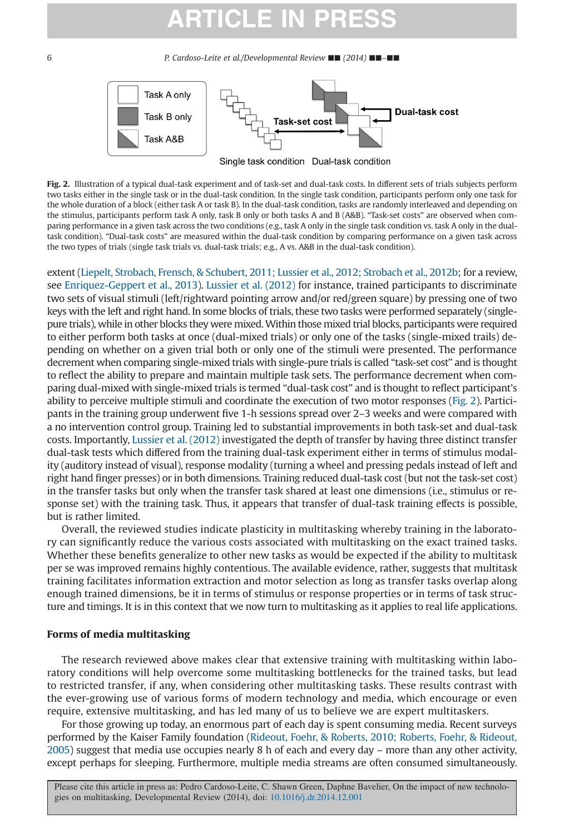### **ARTICLE IN PR**

6 *P. Cardoso-Leite et al./Developmental Review* ■■ *(2014)* ■■*–*■■



**Fig. 2.** Illustration of a typical dual-task experiment and of task-set and dual-task costs. In different sets of trials subjects perform two tasks either in the single task or in the dual-task condition. In the single task condition, participants perform only one task for the whole duration of a block (either task A or task B). In the dual-task condition, tasks are randomly interleaved and depending on the stimulus, participants perform task A only, task B only or both tasks A and B (A&B). "Task-set costs" are observed when comparing performance in a given task across the two conditions (e.g., task A only in the single task condition vs. task A only in the dualtask condition). "Dual-task costs" are measured within the dual-task condition by comparing performance on a given task across the two types of trials (single task trials vs. dual-task trials; e.g., A vs. A&B in the dual-task condition).

extent [\(Liepelt, Strobach, Frensch, & Schubert, 2011; Lussier et al., 2012; Strobach et al., 2012b;](#page-13-8) for a review, see [Enriquez-Geppert et al., 2013\)](#page-13-1). [Lussier et al. \(2012\)](#page-13-9) for instance, trained participants to discriminate two sets of visual stimuli (left/rightward pointing arrow and/or red/green square) by pressing one of two keys with the left and right hand. In some blocks of trials, these two tasks were performed separately (singlepure trials), while in other blocks they were mixed.Within those mixed trial blocks, participants were required to either perform both tasks at once (dual-mixed trials) or only one of the tasks (single-mixed trails) depending on whether on a given trial both or only one of the stimuli were presented. The performance decrement when comparing single-mixed trials with single-pure trials is called "task-set cost" and is thought to reflect the ability to prepare and maintain multiple task sets. The performance decrement when comparing dual-mixed with single-mixed trials is termed "dual-task cost" and is thought to reflect participant's ability to perceive multiple stimuli and coordinate the execution of two motor responses (Fig. 2). Participants in the training group underwent five 1-h sessions spread over 2–3 weeks and were compared with a no intervention control group. Training led to substantial improvements in both task-set and dual-task costs. Importantly, [Lussier et al. \(2012\)](#page-13-9) investigated the depth of transfer by having three distinct transfer dual-task tests which differed from the training dual-task experiment either in terms of stimulus modality (auditory instead of visual), response modality (turning a wheel and pressing pedals instead of left and right hand finger presses) or in both dimensions. Training reduced dual-task cost (but not the task-set cost) in the transfer tasks but only when the transfer task shared at least one dimensions (i.e., stimulus or response set) with the training task. Thus, it appears that transfer of dual-task training effects is possible, but is rather limited.

Overall, the reviewed studies indicate plasticity in multitasking whereby training in the laboratory can significantly reduce the various costs associated with multitasking on the exact trained tasks. Whether these benefits generalize to other new tasks as would be expected if the ability to multitask per se was improved remains highly contentious. The available evidence, rather, suggests that multitask training facilitates information extraction and motor selection as long as transfer tasks overlap along enough trained dimensions, be it in terms of stimulus or response properties or in terms of task structure and timings. It is in this context that we now turn to multitasking as it applies to real life applications.

#### **Forms of media multitasking**

The research reviewed above makes clear that extensive training with multitasking within laboratory conditions will help overcome some multitasking bottlenecks for the trained tasks, but lead to restricted transfer, if any, when considering other multitasking tasks. These results contrast with the ever-growing use of various forms of modern technology and media, which encourage or even require, extensive multitasking, and has led many of us to believe we are expert multitaskers.

For those growing up today, an enormous part of each day is spent consuming media. Recent surveys performed by the Kaiser Family foundation [\(Rideout, Foehr, & Roberts, 2010; Roberts, Foehr, & Rideout,](#page-14-11) [2005\)](#page-14-11) suggest that media use occupies nearly 8 h of each and every day – more than any other activity, except perhaps for sleeping. Furthermore, multiple media streams are often consumed simultaneously.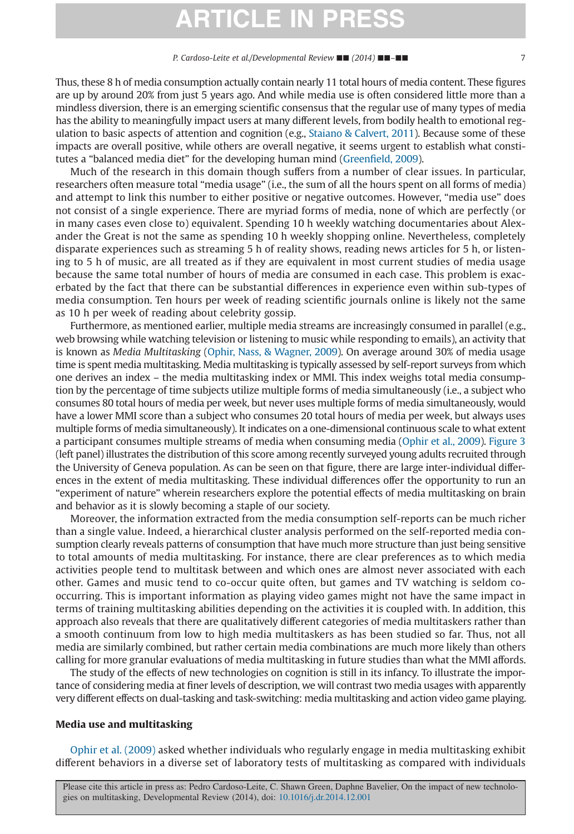#### *P. Cardoso-Leite et al./Developmental Review* ■■ *(2014)* ■■*–*■■ 7

Thus, these 8 h of media consumption actually contain nearly 11 total hours of media content. These figures are up by around 20% from just 5 years ago. And while media use is often considered little more than a mindless diversion, there is an emerging scientific consensus that the regular use of many types of media has the ability to meaningfully impact users at many different levels, from bodily health to emotional regulation to basic aspects of attention and cognition (e.g., [Staiano & Calvert, 2011\)](#page-14-12). Because some of these impacts are overall positive, while others are overall negative, it seems urgent to establish what constitutes a "balanced media diet" for the developing human mind [\(Greenfield, 2009\)](#page-13-10).

Much of the research in this domain though suffers from a number of clear issues. In particular, researchers often measure total "media usage" (i.e., the sum of all the hours spent on all forms of media) and attempt to link this number to either positive or negative outcomes. However, "media use" does not consist of a single experience. There are myriad forms of media, none of which are perfectly (or in many cases even close to) equivalent. Spending 10 h weekly watching documentaries about Alexander the Great is not the same as spending 10 h weekly shopping online. Nevertheless, completely disparate experiences such as streaming 5 h of reality shows, reading news articles for 5 h, or listening to 5 h of music, are all treated as if they are equivalent in most current studies of media usage because the same total number of hours of media are consumed in each case. This problem is exacerbated by the fact that there can be substantial differences in experience even within sub-types of media consumption. Ten hours per week of reading scientific journals online is likely not the same as 10 h per week of reading about celebrity gossip.

Furthermore, as mentioned earlier, multiple media streams are increasingly consumed in parallel (e.g., web browsing while watching television or listening to music while responding to emails), an activity that is known as *Media Multitasking* [\(Ophir, Nass, & Wagner, 2009\)](#page-14-13). On average around 30% of media usage time is spent media multitasking. Media multitasking is typically assessed by self-report surveys from which one derives an index – the media multitasking index or MMI. This index weighs total media consumption by the percentage of time subjects utilize multiple forms of media simultaneously (i.e., a subject who consumes 80 total hours of media per week, but never uses multiple forms of media simultaneously, would have a lower MMI score than a subject who consumes 20 total hours of media per week, but always uses multiple forms of media simultaneously). It indicates on a one-dimensional continuous scale to what extent a participant consumes multiple streams of media when consuming media [\(Ophir et al., 2009\)](#page-14-13). [Figure 3](#page-7-0) (left panel) illustrates the distribution of this score among recently surveyed young adults recruited through the University of Geneva population. As can be seen on that figure, there are large inter-individual differences in the extent of media multitasking. These individual differences offer the opportunity to run an "experiment of nature" wherein researchers explore the potential effects of media multitasking on brain and behavior as it is slowly becoming a staple of our society.

Moreover, the information extracted from the media consumption self-reports can be much richer than a single value. Indeed, a hierarchical cluster analysis performed on the self-reported media consumption clearly reveals patterns of consumption that have much more structure than just being sensitive to total amounts of media multitasking. For instance, there are clear preferences as to which media activities people tend to multitask between and which ones are almost never associated with each other. Games and music tend to co-occur quite often, but games and TV watching is seldom cooccurring. This is important information as playing video games might not have the same impact in terms of training multitasking abilities depending on the activities it is coupled with. In addition, this approach also reveals that there are qualitatively different categories of media multitaskers rather than a smooth continuum from low to high media multitaskers as has been studied so far. Thus, not all media are similarly combined, but rather certain media combinations are much more likely than others calling for more granular evaluations of media multitasking in future studies than what the MMI affords.

The study of the effects of new technologies on cognition is still in its infancy. To illustrate the importance of considering media at finer levels of description, we will contrast two media usages with apparently very different effects on dual-tasking and task-switching: media multitasking and action video game playing.

#### **Media use and multitasking**

[Ophir et al. \(2009\)](#page-14-13) asked whether individuals who regularly engage in media multitasking exhibit different behaviors in a diverse set of laboratory tests of multitasking as compared with individuals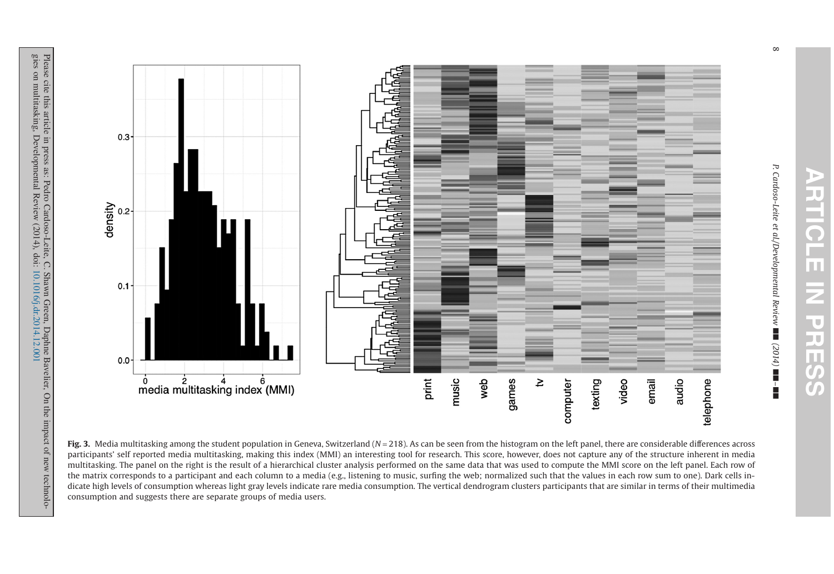<span id="page-7-0"></span>Please cite this article in press as: Pedro Cardoso-Leite, C.<br>gies on multitasking, Developmental Review (2014), doi: gies on multitasking, Developmental Review (2014), doi: Please cite this article in press as: Pedro Cardoso-Leite, C. Shawn Green, Daphne Bavelier, On the impact of new technolo-. Shawn Green, Daphne Bavelier, On the impact of new technolo-10.1016<br>j.  $4:2.001$ [10.1016/j.dr.2014.12.001](http://dx.doi.org/10.1016/j.dr.2014.12.001)



**Fig. 3.** Media multitasking among the student population in Geneva, Switzerland (N = 218). As can be seen from the histogram on the left panel, there are considerable differences across participants' self reported media multitasking, making this index (MMI) an interesting tool for research. This score, however, does not capture any of the structure inherent in media multitasking. The panel on the right is the result of <sup>a</sup> hierarchical cluster analysis performed on the same data that was used to compute the MMI score on the left panel. Each row of the matrix corresponds to a participant and each column to a media (e.g., listening to music, surfing the web; normalized such that the values in each row sum to one). Dark cells indicate high levels of consumption whereas light gray levels indicate rare media consumption. The vertical dendrogram clusters participants that are similar in terms of their multimedia consumption and suggests there are separate groups of media users.

*P. Cardoso-Leite et al./Developmental Review*

■■ *(2014)* ■■*–*■■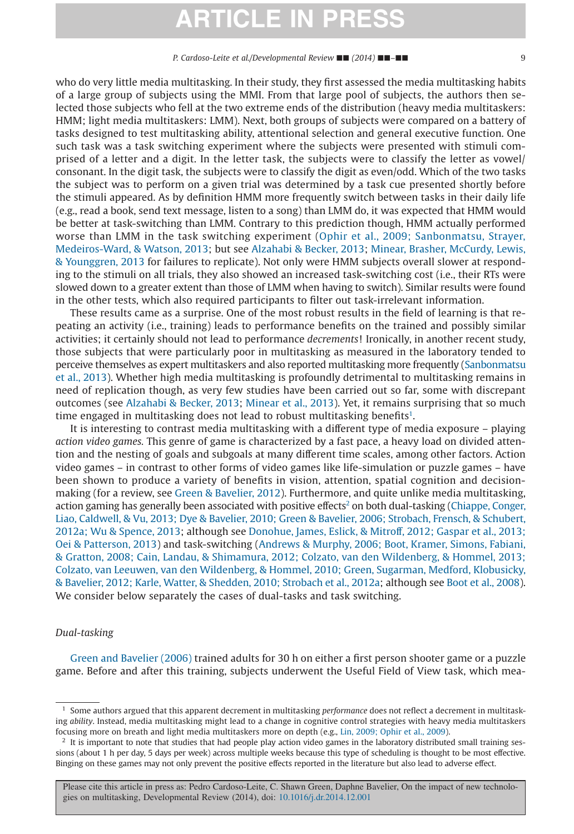#### *P. Cardoso-Leite et al./Developmental Review* ■■ *(2014)* ■■*–*■■ 9

who do very little media multitasking. In their study, they first assessed the media multitasking habits of a large group of subjects using the MMI. From that large pool of subjects, the authors then selected those subjects who fell at the two extreme ends of the distribution (heavy media multitaskers: HMM; light media multitaskers: LMM). Next, both groups of subjects were compared on a battery of tasks designed to test multitasking ability, attentional selection and general executive function. One such task was a task switching experiment where the subjects were presented with stimuli comprised of a letter and a digit. In the letter task, the subjects were to classify the letter as vowel/ consonant. In the digit task, the subjects were to classify the digit as even/odd. Which of the two tasks the subject was to perform on a given trial was determined by a task cue presented shortly before the stimuli appeared. As by definition HMM more frequently switch between tasks in their daily life (e.g., read a book, send text message, listen to a song) than LMM do, it was expected that HMM would be better at task-switching than LMM. Contrary to this prediction though, HMM actually performed worse than LMM in the task switching experiment [\(Ophir et al., 2009; Sanbonmatsu, Strayer,](#page-14-13) [Medeiros-Ward, & Watson, 2013;](#page-14-13) but see [Alzahabi & Becker, 2013;](#page-12-2) [Minear, Brasher, McCurdy, Lewis,](#page-13-11) [& Younggren, 2013](#page-13-11) for failures to replicate). Not only were HMM subjects overall slower at responding to the stimuli on all trials, they also showed an increased task-switching cost (i.e., their RTs were slowed down to a greater extent than those of LMM when having to switch). Similar results were found in the other tests, which also required participants to filter out task-irrelevant information.

These results came as a surprise. One of the most robust results in the field of learning is that repeating an activity (i.e., training) leads to performance benefits on the trained and possibly similar activities; it certainly should not lead to performance *decrements*! Ironically, in another recent study, those subjects that were particularly poor in multitasking as measured in the laboratory tended to perceive themselves as expert multitaskers and also reported multitasking more frequently [\(Sanbonmatsu](#page-14-14) [et al., 2013\)](#page-14-14). Whether high media multitasking is profoundly detrimental to multitasking remains in need of replication though, as very few studies have been carried out so far, some with discrepant outcomes (see [Alzahabi & Becker, 2013;](#page-12-2) [Minear et al., 2013\)](#page-13-11). Yet, it remains surprising that so much time engaged in multitasking does not lead to robust multitasking benefits<sup>1</sup>.

It is interesting to contrast media multitasking with a different type of media exposure – playing *action video games.* This genre of game is characterized by a fast pace, a heavy load on divided attention and the nesting of goals and subgoals at many different time scales, among other factors. Action video games – in contrast to other forms of video games like life-simulation or puzzle games – have been shown to produce a variety of benefits in vision, attention, spatial cognition and decisionmaking (for a review, see [Green & Bavelier, 2012\)](#page-13-12). Furthermore, and quite unlike media multitasking, action gaming has generally been associated with positive effects<sup>2</sup> on both dual-tasking [\(Chiappe, Conger,](#page-13-13) [Liao, Caldwell, & Vu, 2013; Dye & Bavelier, 2010; Green & Bavelier, 2006; Strobach, Frensch, & Schubert,](#page-13-13) [2012a; Wu & Spence, 2013;](#page-13-13) although see [Donohue, James, Eslick, & Mitroff, 2012; Gaspar et al., 2013;](#page-13-14) [Oei & Patterson, 2013\)](#page-13-14) and task-switching [\(Andrews & Murphy, 2006; Boot, Kramer, Simons, Fabiani,](#page-12-3) [& Gratton, 2008; Cain, Landau, & Shimamura, 2012; Colzato, van den Wildenberg, & Hommel, 2013;](#page-12-3) [Colzato, van Leeuwen, van den Wildenberg, & Hommel, 2010; Green, Sugarman, Medford, Klobusicky,](#page-12-3) [& Bavelier, 2012; Karle, Watter, & Shedden, 2010; Strobach et al., 2012a;](#page-12-3) although see [Boot et al., 2008\)](#page-12-4). We consider below separately the cases of dual-tasks and task switching.

#### *Dual-tasking*

[Green and Bavelier \(2006\)](#page-13-15) trained adults for 30 h on either a first person shooter game or a puzzle game. Before and after this training, subjects underwent the Useful Field of View task, which mea-

<span id="page-8-0"></span><sup>1</sup> Some authors argued that this apparent decrement in multitasking *performance* does not reflect a decrement in multitasking *ability*. Instead, media multitasking might lead to a change in cognitive control strategies with heavy media multitaskers focusing more on breath and light media multitaskers more on depth (e.g., [Lin, 2009; Ophir et al., 2009\)](#page-13-16).

<span id="page-8-1"></span> $2\,$  It is important to note that studies that had people play action video games in the laboratory distributed small training sessions (about 1 h per day, 5 days per week) across multiple weeks because this type of scheduling is thought to be most effective. Binging on these games may not only prevent the positive effects reported in the literature but also lead to adverse effect.

Please cite this article in press as: Pedro Cardoso-Leite, C. Shawn Green, Daphne Bavelier, On the impact of new technologies on multitasking, Developmental Review (2014), doi: [10.1016/j.dr.2014.12.001](http://dx.doi.org/10.1016/j.dr.2014.12.001)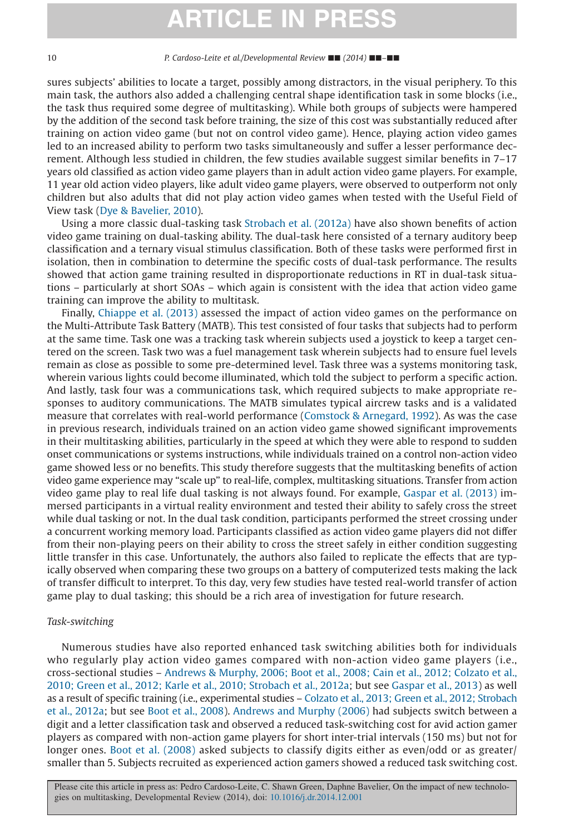#### 10 *P. Cardoso-Leite et al./Developmental Review* ■■ *(2014)* ■■*–*■■

sures subjects' abilities to locate a target, possibly among distractors, in the visual periphery. To this main task, the authors also added a challenging central shape identification task in some blocks (i.e., the task thus required some degree of multitasking). While both groups of subjects were hampered by the addition of the second task before training, the size of this cost was substantially reduced after training on action video game (but not on control video game). Hence, playing action video games led to an increased ability to perform two tasks simultaneously and suffer a lesser performance decrement. Although less studied in children, the few studies available suggest similar benefits in 7–17 years old classified as action video game players than in adult action video game players. For example, 11 year old action video players, like adult video game players, were observed to outperform not only children but also adults that did not play action video games when tested with the Useful Field of View task [\(Dye & Bavelier, 2010\)](#page-13-17).

Using a more classic dual-tasking task [Strobach et al. \(2012a\)](#page-14-15) have also shown benefits of action video game training on dual-tasking ability. The dual-task here consisted of a ternary auditory beep classification and a ternary visual stimulus classification. Both of these tasks were performed first in isolation, then in combination to determine the specific costs of dual-task performance. The results showed that action game training resulted in disproportionate reductions in RT in dual-task situations – particularly at short SOAs – which again is consistent with the idea that action video game training can improve the ability to multitask.

Finally, [Chiappe et al. \(2013\)](#page-13-13) assessed the impact of action video games on the performance on the Multi-Attribute Task Battery (MATB). This test consisted of four tasks that subjects had to perform at the same time. Task one was a tracking task wherein subjects used a joystick to keep a target centered on the screen. Task two was a fuel management task wherein subjects had to ensure fuel levels remain as close as possible to some pre-determined level. Task three was a systems monitoring task, wherein various lights could become illuminated, which told the subject to perform a specific action. And lastly, task four was a communications task, which required subjects to make appropriate responses to auditory communications. The MATB simulates typical aircrew tasks and is a validated measure that correlates with real-world performance [\(Comstock & Arnegard, 1992\)](#page-13-18). As was the case in previous research, individuals trained on an action video game showed significant improvements in their multitasking abilities, particularly in the speed at which they were able to respond to sudden onset communications or systems instructions, while individuals trained on a control non-action video game showed less or no benefits. This study therefore suggests that the multitasking benefits of action video game experience may "scale up" to real-life, complex, multitasking situations. Transfer from action video game play to real life dual tasking is not always found. For example, [Gaspar et al. \(2013\)](#page-13-19) immersed participants in a virtual reality environment and tested their ability to safely cross the street while dual tasking or not. In the dual task condition, participants performed the street crossing under a concurrent working memory load. Participants classified as action video game players did not differ from their non-playing peers on their ability to cross the street safely in either condition suggesting little transfer in this case. Unfortunately, the authors also failed to replicate the effects that are typically observed when comparing these two groups on a battery of computerized tests making the lack of transfer difficult to interpret. To this day, very few studies have tested real-world transfer of action game play to dual tasking; this should be a rich area of investigation for future research.

#### *Task-switching*

Numerous studies have also reported enhanced task switching abilities both for individuals who regularly play action video games compared with non-action video game players (i.e., cross-sectional studies – [Andrews & Murphy, 2006; Boot et al., 2008; Cain et al., 2012; Colzato et al.,](#page-12-3) [2010; Green et al., 2012; Karle et al., 2010; Strobach et al., 2012a;](#page-12-3) but see [Gaspar et al., 2013\)](#page-13-19) as well as a result of specific training (i.e., experimental studies – [Colzato et al., 2013; Green et al., 2012; Strobach](#page-13-20) [et al., 2012a;](#page-13-20) but see [Boot et al., 2008\)](#page-12-4). [Andrews and Murphy \(2006\)](#page-12-3) had subjects switch between a digit and a letter classification task and observed a reduced task-switching cost for avid action gamer players as compared with non-action game players for short inter-trial intervals (150 ms) but not for longer ones. [Boot et al. \(2008\)](#page-12-4) asked subjects to classify digits either as even/odd or as greater/ smaller than 5. Subjects recruited as experienced action gamers showed a reduced task switching cost.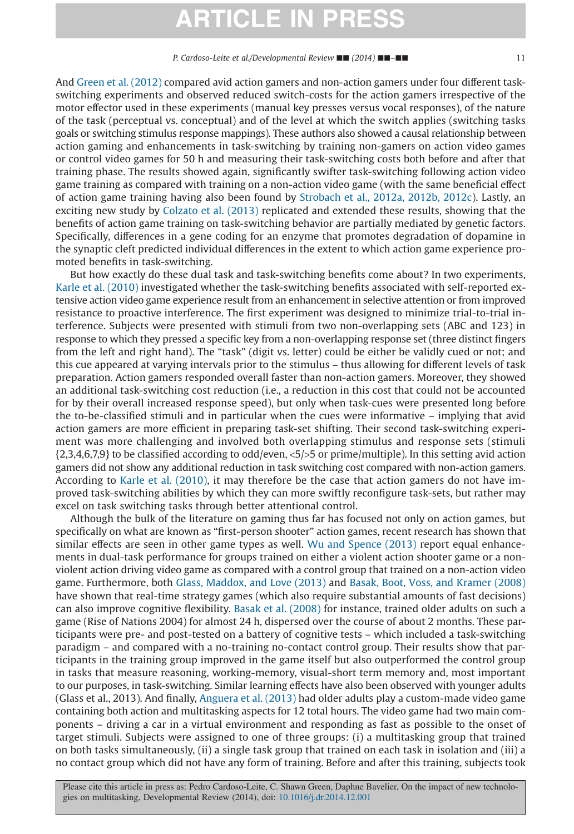#### *P. Cardoso-Leite et al./Developmental Review* ■■ *(2014)* ■■*–*■■ 11

And [Green et al. \(2012\)](#page-13-21) compared avid action gamers and non-action gamers under four different taskswitching experiments and observed reduced switch-costs for the action gamers irrespective of the motor effector used in these experiments (manual key presses versus vocal responses), of the nature of the task (perceptual vs. conceptual) and of the level at which the switch applies (switching tasks goals or switching stimulus response mappings). These authors also showed a causal relationship between action gaming and enhancements in task-switching by training non-gamers on action video games or control video games for 50 h and measuring their task-switching costs both before and after that training phase. The results showed again, significantly swifter task-switching following action video game training as compared with training on a non-action video game (with the same beneficial effect of action game training having also been found by [Strobach et al., 2012a, 2012b, 2012c\)](#page-14-15). Lastly, an exciting new study by [Colzato et al. \(2013\)](#page-13-20) replicated and extended these results, showing that the benefits of action game training on task-switching behavior are partially mediated by genetic factors. Specifically, differences in a gene coding for an enzyme that promotes degradation of dopamine in the synaptic cleft predicted individual differences in the extent to which action game experience promoted benefits in task-switching.

But how exactly do these dual task and task-switching benefits come about? In two experiments, [Karle et al. \(2010\)](#page-13-22) investigated whether the task-switching benefits associated with self-reported extensive action video game experience result from an enhancement in selective attention or from improved resistance to proactive interference. The first experiment was designed to minimize trial-to-trial interference. Subjects were presented with stimuli from two non-overlapping sets (ABC and 123) in response to which they pressed a specific key from a non-overlapping response set (three distinct fingers from the left and right hand). The "task" (digit vs. letter) could be either be validly cued or not; and this cue appeared at varying intervals prior to the stimulus – thus allowing for different levels of task preparation. Action gamers responded overall faster than non-action gamers. Moreover, they showed an additional task-switching cost reduction (i.e., a reduction in this cost that could not be accounted for by their overall increased response speed), but only when task-cues were presented long before the to-be-classified stimuli and in particular when the cues were informative – implying that avid action gamers are more efficient in preparing task-set shifting. Their second task-switching experiment was more challenging and involved both overlapping stimulus and response sets (stimuli {2,3,4,6,7,9} to be classified according to odd/even, <5/>5 or prime/multiple). In this setting avid action gamers did not show any additional reduction in task switching cost compared with non-action gamers. According to [Karle et al. \(2010\),](#page-13-22) it may therefore be the case that action gamers do not have improved task-switching abilities by which they can more swiftly reconfigure task-sets, but rather may excel on task switching tasks through better attentional control.

Although the bulk of the literature on gaming thus far has focused not only on action games, but specifically on what are known as "first-person shooter" action games, recent research has shown that similar effects are seen in other game types as well. [Wu and Spence \(2013\)](#page-14-16) report equal enhancements in dual-task performance for groups trained on either a violent action shooter game or a nonviolent action driving video game as compared with a control group that trained on a non-action video game. Furthermore, both [Glass, Maddox, and Love \(2013\)](#page-13-23) and [Basak, Boot, Voss, and Kramer \(2008\)](#page-12-5) have shown that real-time strategy games (which also require substantial amounts of fast decisions) can also improve cognitive flexibility. [Basak et al. \(2008\)](#page-12-5) for instance, trained older adults on such a game (Rise of Nations 2004) for almost 24 h, dispersed over the course of about 2 months. These participants were pre- and post-tested on a battery of cognitive tests – which included a task-switching paradigm – and compared with a no-training no-contact control group. Their results show that participants in the training group improved in the game itself but also outperformed the control group in tasks that measure reasoning, working-memory, visual-short term memory and, most important to our purposes, in task-switching. Similar learning effects have also been observed with younger adults (Glass et al., 2013). And finally, [Anguera et al. \(2013\)](#page-12-6) had older adults play a custom-made video game containing both action and multitasking aspects for 12 total hours. The video game had two main components – driving a car in a virtual environment and responding as fast as possible to the onset of target stimuli. Subjects were assigned to one of three groups: (i) a multitasking group that trained on both tasks simultaneously, (ii) a single task group that trained on each task in isolation and (iii) a no contact group which did not have any form of training. Before and after this training, subjects took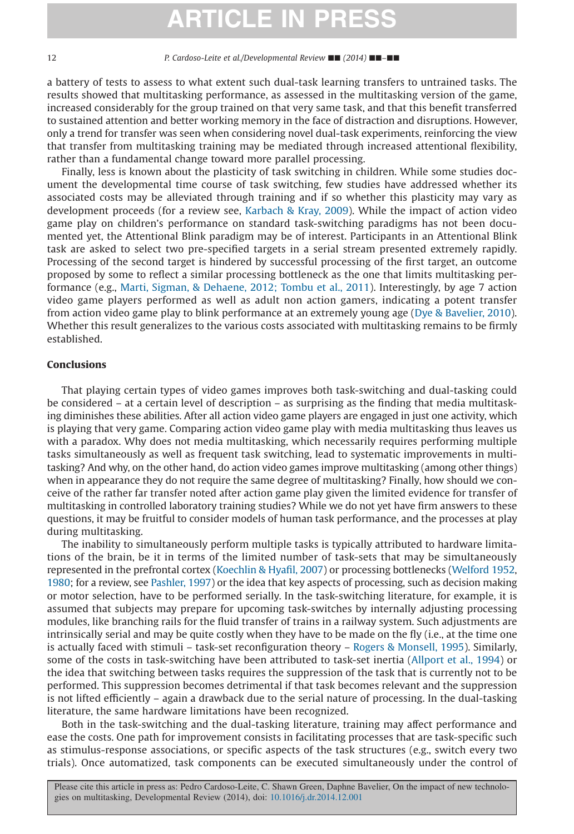#### 12 *P. Cardoso-Leite et al./Developmental Review* ■■ *(2014)* ■■*–*■■

a battery of tests to assess to what extent such dual-task learning transfers to untrained tasks. The results showed that multitasking performance, as assessed in the multitasking version of the game, increased considerably for the group trained on that very same task, and that this benefit transferred to sustained attention and better working memory in the face of distraction and disruptions. However, only a trend for transfer was seen when considering novel dual-task experiments, reinforcing the view that transfer from multitasking training may be mediated through increased attentional flexibility, rather than a fundamental change toward more parallel processing.

Finally, less is known about the plasticity of task switching in children. While some studies document the developmental time course of task switching, few studies have addressed whether its associated costs may be alleviated through training and if so whether this plasticity may vary as development proceeds (for a review see, [Karbach & Kray, 2009\)](#page-13-7). While the impact of action video game play on children's performance on standard task-switching paradigms has not been documented yet, the Attentional Blink paradigm may be of interest. Participants in an Attentional Blink task are asked to select two pre-specified targets in a serial stream presented extremely rapidly. Processing of the second target is hindered by successful processing of the first target, an outcome proposed by some to reflect a similar processing bottleneck as the one that limits multitasking performance (e.g., [Marti, Sigman, & Dehaene, 2012; Tombu et al., 2011\)](#page-13-24). Interestingly, by age 7 action video game players performed as well as adult non action gamers, indicating a potent transfer from action video game play to blink performance at an extremely young age [\(Dye & Bavelier, 2010\)](#page-13-17). Whether this result generalizes to the various costs associated with multitasking remains to be firmly established.

#### **Conclusions**

That playing certain types of video games improves both task-switching and dual-tasking could be considered – at a certain level of description – as surprising as the finding that media multitasking diminishes these abilities. After all action video game players are engaged in just one activity, which is playing that very game. Comparing action video game play with media multitasking thus leaves us with a paradox. Why does not media multitasking, which necessarily requires performing multiple tasks simultaneously as well as frequent task switching, lead to systematic improvements in multitasking? And why, on the other hand, do action video games improve multitasking (among other things) when in appearance they do not require the same degree of multitasking? Finally, how should we conceive of the rather far transfer noted after action game play given the limited evidence for transfer of multitasking in controlled laboratory training studies? While we do not yet have firm answers to these questions, it may be fruitful to consider models of human task performance, and the processes at play during multitasking.

The inability to simultaneously perform multiple tasks is typically attributed to hardware limitations of the brain, be it in terms of the limited number of task-sets that may be simultaneously represented in the prefrontal cortex [\(Koechlin & Hyafil, 2007\)](#page-13-25) or processing bottlenecks [\(Welford 1952,](#page-14-17) [1980;](#page-14-18) for a review, see [Pashler, 1997\)](#page-14-19) or the idea that key aspects of processing, such as decision making or motor selection, have to be performed serially. In the task-switching literature, for example, it is assumed that subjects may prepare for upcoming task-switches by internally adjusting processing modules, like branching rails for the fluid transfer of trains in a railway system. Such adjustments are intrinsically serial and may be quite costly when they have to be made on the fly (i.e., at the time one is actually faced with stimuli – task-set reconfiguration theory – [Rogers & Monsell, 1995\)](#page-14-20). Similarly, some of the costs in task-switching have been attributed to task-set inertia [\(Allport et al., 1994\)](#page-12-7) or the idea that switching between tasks requires the suppression of the task that is currently not to be performed. This suppression becomes detrimental if that task becomes relevant and the suppression is not lifted efficiently – again a drawback due to the serial nature of processing. In the dual-tasking literature, the same hardware limitations have been recognized.

Both in the task-switching and the dual-tasking literature, training may affect performance and ease the costs. One path for improvement consists in facilitating processes that are task-specific such as stimulus-response associations, or specific aspects of the task structures (e.g., switch every two trials). Once automatized, task components can be executed simultaneously under the control of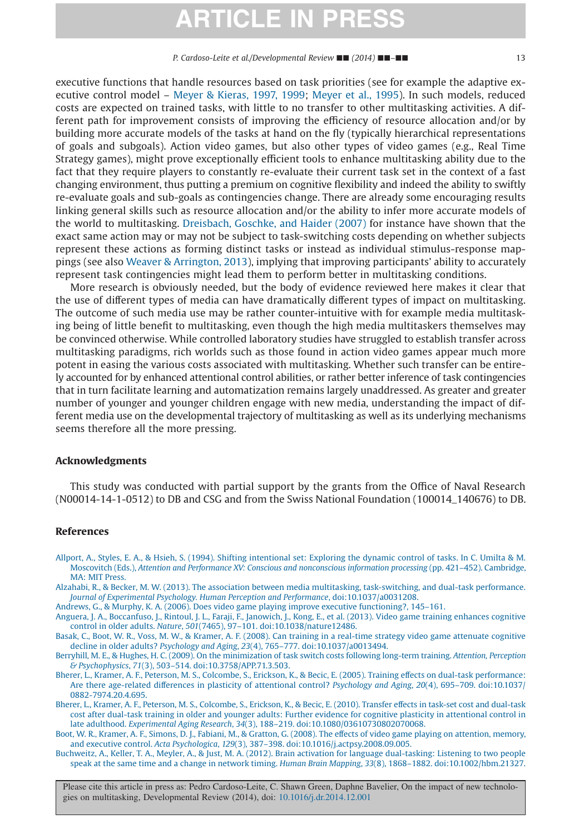#### *P. Cardoso-Leite et al./Developmental Review* ■■ *(2014)* ■■*–*■■ 13

executive functions that handle resources based on task priorities (see for example the adaptive executive control model – [Meyer & Kieras, 1997, 1999;](#page-13-26) [Meyer et al., 1995\)](#page-13-27). In such models, reduced costs are expected on trained tasks, with little to no transfer to other multitasking activities. A different path for improvement consists of improving the efficiency of resource allocation and/or by building more accurate models of the tasks at hand on the fly (typically hierarchical representations of goals and subgoals). Action video games, but also other types of video games (e.g., Real Time Strategy games), might prove exceptionally efficient tools to enhance multitasking ability due to the fact that they require players to constantly re-evaluate their current task set in the context of a fast changing environment, thus putting a premium on cognitive flexibility and indeed the ability to swiftly re-evaluate goals and sub-goals as contingencies change. There are already some encouraging results linking general skills such as resource allocation and/or the ability to infer more accurate models of the world to multitasking. [Dreisbach, Goschke, and Haider \(2007\)](#page-13-28) for instance have shown that the exact same action may or may not be subject to task-switching costs depending on whether subjects represent these actions as forming distinct tasks or instead as individual stimulus-response mappings (see also [Weaver & Arrington, 2013\)](#page-14-21), implying that improving participants' ability to accurately represent task contingencies might lead them to perform better in multitasking conditions.

More research is obviously needed, but the body of evidence reviewed here makes it clear that the use of different types of media can have dramatically different types of impact on multitasking. The outcome of such media use may be rather counter-intuitive with for example media multitasking being of little benefit to multitasking, even though the high media multitaskers themselves may be convinced otherwise. While controlled laboratory studies have struggled to establish transfer across multitasking paradigms, rich worlds such as those found in action video games appear much more potent in easing the various costs associated with multitasking. Whether such transfer can be entirely accounted for by enhanced attentional control abilities, or rather better inference of task contingencies that in turn facilitate learning and automatization remains largely unaddressed. As greater and greater number of younger and younger children engage with new media, understanding the impact of different media use on the developmental trajectory of multitasking as well as its underlying mechanisms seems therefore all the more pressing.

#### **Acknowledgments**

This study was conducted with partial support by the grants from the Office of Naval Research (N00014-14-1-0512) to DB and CSG and from the Swiss National Foundation (100014\_140676) to DB.

#### **References**

<span id="page-12-7"></span>[Allport, A., Styles, E. A., & Hsieh, S. \(1994\). Shifting intentional set: Exploring the dynamic control of tasks. In C. Umilta & M.](http://refhub.elsevier.com/S0273-2297(14)00047-1/sr9040) Moscovitch (Eds.), *[Attention and Performance XV: Conscious and nonconscious information processing](http://refhub.elsevier.com/S0273-2297(14)00047-1/sr9040)* (pp. 421–452). Cambridge, [MA: MIT Press.](http://refhub.elsevier.com/S0273-2297(14)00047-1/sr9040)

<span id="page-12-2"></span>[Alzahabi, R., & Becker, M. W. \(2013\). The association between media multitasking, task-switching, and dual-task performance.](http://refhub.elsevier.com/S0273-2297(14)00047-1/sr0010) *[Journal of Experimental Psychology. Human Perception and Performance](http://refhub.elsevier.com/S0273-2297(14)00047-1/sr0010)*, doi:10.1037/a0031208.

<span id="page-12-6"></span><span id="page-12-3"></span>[Andrews, G., & Murphy, K. A. \(2006\). Does video game playing improve executive functioning?, 145–161.](http://refhub.elsevier.com/S0273-2297(14)00047-1/sr0015)

[Anguera, J. A., Boccanfuso, J., Rintoul, J. L., Faraji, F., Janowich, J., Kong, E., et al. \(2013\). Video game training enhances cognitive](http://refhub.elsevier.com/S0273-2297(14)00047-1/sr0020) control in older adults. *Nature*, *501*[\(7465\), 97–101. doi:10.1038/nature12486.](http://refhub.elsevier.com/S0273-2297(14)00047-1/sr0020)

<span id="page-12-5"></span>[Basak, C., Boot, W. R., Voss, M. W., & Kramer, A. F. \(2008\). Can training in a real-time strategy video game attenuate cognitive](http://refhub.elsevier.com/S0273-2297(14)00047-1/sr0025) decline in older adults? *Psychology and Aging*, *23*[\(4\), 765–777. doi:10.1037/a0013494.](http://refhub.elsevier.com/S0273-2297(14)00047-1/sr0025)

[Berryhill, M. E., & Hughes, H. C. \(2009\). On the minimization of task switch costs following long-term training.](http://refhub.elsevier.com/S0273-2297(14)00047-1/sr0030) *Attention, Perception & Psychophysics*, *71*[\(3\), 503–514. doi:10.3758/APP.71.3.503.](http://refhub.elsevier.com/S0273-2297(14)00047-1/sr0030)

- <span id="page-12-0"></span>[Bherer, L., Kramer, A. F., Peterson, M. S., Colcombe, S., Erickson, K., & Becic, E. \(2005\). Training effects on dual-task performance:](http://refhub.elsevier.com/S0273-2297(14)00047-1/sr0035) [Are there age-related differences in plasticity of attentional control?](http://refhub.elsevier.com/S0273-2297(14)00047-1/sr0035) *Psychology and Aging*, *20*(4), 695–709. doi:10.1037/ [0882-7974.20.4.695.](http://refhub.elsevier.com/S0273-2297(14)00047-1/sr0035)
- [Bherer, L., Kramer, A. F., Peterson, M. S., Colcombe, S., Erickson, K., & Becic, E. \(2010\). Transfer effects in task-set cost and dual-task](http://refhub.elsevier.com/S0273-2297(14)00047-1/sr0040) [cost after dual-task training in older and younger adults: Further evidence for cognitive plasticity in attentional control in](http://refhub.elsevier.com/S0273-2297(14)00047-1/sr0040) late adulthood. *Experimental Aging Research*, *34*[\(3\), 188–219. doi:10.1080/03610730802070068.](http://refhub.elsevier.com/S0273-2297(14)00047-1/sr0040)
- <span id="page-12-4"></span>[Boot, W. R., Kramer, A. F., Simons, D. J., Fabiani, M., & Gratton, G. \(2008\). The effects of video game playing on attention, memory,](http://refhub.elsevier.com/S0273-2297(14)00047-1/sr0045) and executive control. *Acta Psychologica*, *129*[\(3\), 387–398. doi:10.1016/j.actpsy.2008.09.005.](http://refhub.elsevier.com/S0273-2297(14)00047-1/sr0045)
- <span id="page-12-1"></span>[Buchweitz, A., Keller, T. A., Meyler, A., & Just, M. A. \(2012\). Brain activation for language dual-tasking: Listening to two people](http://refhub.elsevier.com/S0273-2297(14)00047-1/sr0050) [speak at the same time and a change in network timing.](http://refhub.elsevier.com/S0273-2297(14)00047-1/sr0050) *Human Brain Mapping*, *33*(8), 1868–1882. doi:10.1002/hbm.21327.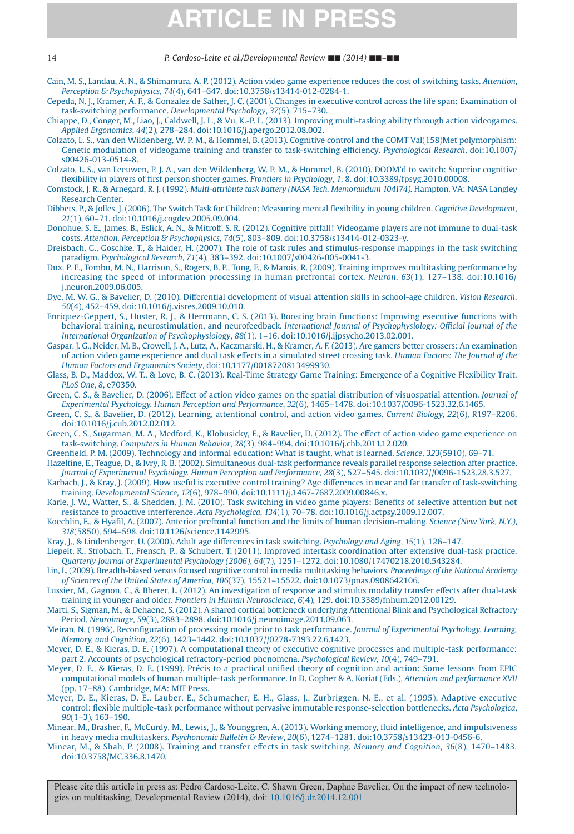14 *P. Cardoso-Leite et al./Developmental Review* ■■ *(2014)* ■■*–*■■

- [Cain, M. S., Landau, A. N., & Shimamura, A. P. \(2012\). Action video game experience reduces the cost of switching tasks.](http://refhub.elsevier.com/S0273-2297(14)00047-1/sr0055) *Attention, Perception & Psychophysics*, *74*[\(4\), 641–647. doi:10.3758/s13414-012-0284-1.](http://refhub.elsevier.com/S0273-2297(14)00047-1/sr0055)
- <span id="page-13-4"></span>[Cepeda, N. J., Kramer, A. F., & Gonzalez de Sather, J. C. \(2001\). Changes in executive control across the life span: Examination of](http://refhub.elsevier.com/S0273-2297(14)00047-1/sr0060) [task-switching performance.](http://refhub.elsevier.com/S0273-2297(14)00047-1/sr0060) *Developmental Psychology*, *37*(5), 715–730.
- <span id="page-13-13"></span>[Chiappe, D., Conger, M., Liao, J., Caldwell, J. L., & Vu, K.-P. L. \(2013\). Improving multi-tasking ability through action videogames.](http://refhub.elsevier.com/S0273-2297(14)00047-1/sr0065) *Applied Ergonomics*, *44*[\(2\), 278–284. doi:10.1016/j.apergo.2012.08.002.](http://refhub.elsevier.com/S0273-2297(14)00047-1/sr0065)
- <span id="page-13-20"></span>[Colzato, L. S., van den Wildenberg, W. P. M., & Hommel, B. \(2013\). Cognitive control and the COMT Val\(158\)Met polymorphism:](http://refhub.elsevier.com/S0273-2297(14)00047-1/sr0070) [Genetic modulation of videogame training and transfer to task-switching efficiency.](http://refhub.elsevier.com/S0273-2297(14)00047-1/sr0070) *Psychological Research*, doi:10.1007/ [s00426-013-0514-8.](http://refhub.elsevier.com/S0273-2297(14)00047-1/sr0070)
- [Colzato, L. S., van Leeuwen, P. J. A., van den Wildenberg, W. P. M., & Hommel, B. \(2010\). DOOM'd to switch: Superior cognitive](http://refhub.elsevier.com/S0273-2297(14)00047-1/sr0075) [flexibility in players of first person shooter games.](http://refhub.elsevier.com/S0273-2297(14)00047-1/sr0075) *Frontiers in Psychology*, *1*, 8. doi:10.3389/fpsyg.2010.00008.
- <span id="page-13-18"></span>Comstock, J. R., & Arnegard, R. J. (1992). *[Multi-attribute task battery \(NASA Tech. Memorandum 104174\)](http://refhub.elsevier.com/S0273-2297(14)00047-1/sr0080)*. Hampton, VA: NASA Langley [Research Center.](http://refhub.elsevier.com/S0273-2297(14)00047-1/sr0080)
- <span id="page-13-0"></span>[Dibbets, P., & Jolles, J. \(2006\). The Switch Task for Children: Measuring mental flexibility in young children.](http://refhub.elsevier.com/S0273-2297(14)00047-1/sr0085) *Cognitive Development*, *21*[\(1\), 60–71. doi:10.1016/j.cogdev.2005.09.004.](http://refhub.elsevier.com/S0273-2297(14)00047-1/sr0085)
- <span id="page-13-14"></span>[Donohue, S. E., James, B., Eslick, A. N., & Mitroff, S. R. \(2012\). Cognitive pitfall! Videogame players are not immune to dual-task](http://refhub.elsevier.com/S0273-2297(14)00047-1/sr0090) costs. *Attention, Perception & Psychophysics*, *74*[\(5\), 803–809. doi:10.3758/s13414-012-0323-y.](http://refhub.elsevier.com/S0273-2297(14)00047-1/sr0090)
- <span id="page-13-28"></span>[Dreisbach, G., Goschke, T., & Haider, H. \(2007\). The role of task rules and stimulus-response mappings in the task switching](http://refhub.elsevier.com/S0273-2297(14)00047-1/sr0095) paradigm. *Psychological Research*, *71*[\(4\), 383–392. doi:10.1007/s00426-005-0041-3.](http://refhub.elsevier.com/S0273-2297(14)00047-1/sr0095)
- <span id="page-13-3"></span>[Dux, P. E., Tombu, M. N., Harrison, S., Rogers, B. P., Tong, F., & Marois, R. \(2009\). Training improves multitasking performance by](http://refhub.elsevier.com/S0273-2297(14)00047-1/sr0100) [increasing the speed of information processing in human prefrontal cortex.](http://refhub.elsevier.com/S0273-2297(14)00047-1/sr0100) *Neuron*, *63*(1), 127–138. doi:10.1016/ [j.neuron.2009.06.005.](http://refhub.elsevier.com/S0273-2297(14)00047-1/sr0100)
- <span id="page-13-17"></span>[Dye, M. W. G., & Bavelier, D. \(2010\). Differential development of visual attention skills in school-age children.](http://refhub.elsevier.com/S0273-2297(14)00047-1/sr0105) *Vision Research*, *50*[\(4\), 452–459. doi:10.1016/j.visres.2009.10.010.](http://refhub.elsevier.com/S0273-2297(14)00047-1/sr0105)
- <span id="page-13-1"></span>[Enriquez-Geppert, S., Huster, R. J., & Herrmann, C. S. \(2013\). Boosting brain functions: Improving executive functions with](http://refhub.elsevier.com/S0273-2297(14)00047-1/sr0110) behavioral training, neurostimulation, and neurofeedback. *[International Journal of Psychophysiology: Official Journal of the](http://refhub.elsevier.com/S0273-2297(14)00047-1/sr0110) International Organization of Psychophysiology*, *88*[\(1\), 1–16. doi:10.1016/j.ijpsycho.2013.02.001.](http://refhub.elsevier.com/S0273-2297(14)00047-1/sr0110)
- <span id="page-13-19"></span>[Gaspar, J. G., Neider, M. B., Crowell, J. A., Lutz, A., Kaczmarski, H., & Kramer, A. F. \(2013\). Are gamers better crossers: An examination](http://refhub.elsevier.com/S0273-2297(14)00047-1/sr0115) [of action video game experience and dual task effects in a simulated street crossing task.](http://refhub.elsevier.com/S0273-2297(14)00047-1/sr0115) *Human Factors: The Journal of the [Human Factors and Ergonomics Society](http://refhub.elsevier.com/S0273-2297(14)00047-1/sr0115)*, doi:10.1177/0018720813499930.
- <span id="page-13-23"></span>[Glass, B. D., Maddox, W. T., & Love, B. C. \(2013\). Real-Time Strategy Game Training: Emergence of a Cognitive Flexibility Trait.](http://refhub.elsevier.com/S0273-2297(14)00047-1/sr9025) *PLoS One*, *8*[, e70350.](http://refhub.elsevier.com/S0273-2297(14)00047-1/sr9025)
- <span id="page-13-15"></span>[Green, C. S., & Bavelier, D. \(2006\). Effect of action video games on the spatial distribution of visuospatial attention.](http://refhub.elsevier.com/S0273-2297(14)00047-1/sr0120) *Journal of [Experimental Psychology. Human Perception and Performance](http://refhub.elsevier.com/S0273-2297(14)00047-1/sr0120)*, *32*(6), 1465–1478. doi:10.1037/0096-1523.32.6.1465.
- <span id="page-13-12"></span>[Green, C. S., & Bavelier, D. \(2012\). Learning, attentional control, and action video games.](http://refhub.elsevier.com/S0273-2297(14)00047-1/sr0125) *Current Biology*, *22*(6), R197–R206. [doi:10.1016/j.cub.2012.02.012.](http://refhub.elsevier.com/S0273-2297(14)00047-1/sr0125)
- <span id="page-13-21"></span>[Green, C. S., Sugarman, M. A., Medford, K., Klobusicky, E., & Bavelier, D. \(2012\). The effect of action video game experience on](http://refhub.elsevier.com/S0273-2297(14)00047-1/sr0130) task-switching. *Computers in Human Behavior*, *28*[\(3\), 984–994. doi:10.1016/j.chb.2011.12.020.](http://refhub.elsevier.com/S0273-2297(14)00047-1/sr0130)
- <span id="page-13-10"></span>[Greenfield, P. M. \(2009\). Technology and informal education: What is taught, what is learned.](http://refhub.elsevier.com/S0273-2297(14)00047-1/sr0135) *Science*, *323*(5910), 69–71.
- <span id="page-13-2"></span>[Hazeltine, E., Teague, D., & Ivry, R. B. \(2002\). Simultaneous dual-task performance reveals parallel response selection after practice.](http://refhub.elsevier.com/S0273-2297(14)00047-1/sr0140) *[Journal of Experimental Psychology. Human Perception and Performance](http://refhub.elsevier.com/S0273-2297(14)00047-1/sr0140)*, *28*(3), 527–545. doi:10.1037//0096-1523.28.3.527.
- <span id="page-13-7"></span>[Karbach, J., & Kray, J. \(2009\). How useful is executive control training? Age differences in near and far transfer of task-switching](http://refhub.elsevier.com/S0273-2297(14)00047-1/sr0145) training. *Developmental Science*, *12*[\(6\), 978–990. doi:10.1111/j.1467-7687.2009.00846.x.](http://refhub.elsevier.com/S0273-2297(14)00047-1/sr0145)
- <span id="page-13-22"></span>[Karle, J. W., Watter, S., & Shedden, J. M. \(2010\). Task switching in video game players: Benefits of selective attention but not](http://refhub.elsevier.com/S0273-2297(14)00047-1/sr0150) resistance to proactive interference. *Acta Psychologica*, *134*[\(1\), 70–78. doi:10.1016/j.actpsy.2009.12.007.](http://refhub.elsevier.com/S0273-2297(14)00047-1/sr0150)
- <span id="page-13-25"></span>[Koechlin, E., & Hyafil, A. \(2007\). Anterior prefrontal function and the limits of human decision-making.](http://refhub.elsevier.com/S0273-2297(14)00047-1/sr0155) *Science (New York, N.Y.)*, *318*[\(5850\), 594–598. doi:10.1126/science.1142995.](http://refhub.elsevier.com/S0273-2297(14)00047-1/sr0155)
- <span id="page-13-8"></span><span id="page-13-5"></span>[Kray, J., & Lindenberger, U. \(2000\). Adult age differences in task switching.](http://refhub.elsevier.com/S0273-2297(14)00047-1/sr0160) *Psychology and Aging*, *15*(1), 126–147.
- [Liepelt, R., Strobach, T., Frensch, P., & Schubert, T. \(2011\). Improved intertask coordination after extensive dual-task practice.](http://refhub.elsevier.com/S0273-2297(14)00047-1/sr0165) *Quarterly Journal of Experimental Psychology (2006)*, *64*[\(7\), 1251–1272. doi:10.1080/17470218.2010.543284.](http://refhub.elsevier.com/S0273-2297(14)00047-1/sr0165)
- <span id="page-13-16"></span>[Lin, L. \(2009\). Breadth-biased versus focused cognitive control in media multitasking behaviors.](http://refhub.elsevier.com/S0273-2297(14)00047-1/sr0170) *Proceedings of the National Academy of Sciences of the United States of America*, *106*[\(37\), 15521–15522. doi:10.1073/pnas.0908642106.](http://refhub.elsevier.com/S0273-2297(14)00047-1/sr0170)
- <span id="page-13-9"></span>[Lussier, M., Gagnon, C., & Bherer, L. \(2012\). An investigation of response and stimulus modality transfer effects after dual-task](http://refhub.elsevier.com/S0273-2297(14)00047-1/sr0175) training in younger and older. *Frontiers in Human Neuroscience*, *6*[\(4\), 129. doi:10.3389/fnhum.2012.00129.](http://refhub.elsevier.com/S0273-2297(14)00047-1/sr0175)
- <span id="page-13-24"></span>[Marti, S., Sigman, M., & Dehaene, S. \(2012\). A shared cortical bottleneck underlying Attentional Blink and Psychological Refractory](http://refhub.elsevier.com/S0273-2297(14)00047-1/sr0180) Period. *Neuroimage*, *59*[\(3\), 2883–2898. doi:10.1016/j.neuroimage.2011.09.063.](http://refhub.elsevier.com/S0273-2297(14)00047-1/sr0180)

[Meiran, N. \(1996\). Reconfiguration of processing mode prior to task performance.](http://refhub.elsevier.com/S0273-2297(14)00047-1/sr0185) *Journal of Experimental Psychology. Learning, Memory, and Cognition*, *22*[\(6\), 1423–1442. doi:10.1037//0278-7393.22.6.1423.](http://refhub.elsevier.com/S0273-2297(14)00047-1/sr0185)

- [Meyer, D. E., & Kieras, D. E. \(1997\). A computational theory of executive cognitive processes and multiple-task performance:](http://refhub.elsevier.com/S0273-2297(14)00047-1/sr9045) [part 2. Accounts of psychological refractory-period phenomena.](http://refhub.elsevier.com/S0273-2297(14)00047-1/sr9045) *Psychological Review*, *10*(4), 749–791.
- <span id="page-13-26"></span>[Meyer, D. E., & Kieras, D. E. \(1999\). Précis to a practical unified theory of cognition and action: Some lessons from EPIC](http://refhub.elsevier.com/S0273-2297(14)00047-1/sr7010) [computational models of human multiple-task performance. In D. Gopher & A. Koriat \(Eds.\),](http://refhub.elsevier.com/S0273-2297(14)00047-1/sr7010) *Attention and performance XVII* [\(pp. 17–88\). Cambridge, MA: MIT Press.](http://refhub.elsevier.com/S0273-2297(14)00047-1/sr7010)
- <span id="page-13-27"></span>[Meyer, D. E., Kieras, D. E., Lauber, E., Schumacher, E. H., Glass, J., Zurbriggen, N. E., et al. \(1995\). Adaptive executive](http://refhub.elsevier.com/S0273-2297(14)00047-1/sr9050) [control: flexible multiple-task performance without pervasive immutable response-selection bottlenecks.](http://refhub.elsevier.com/S0273-2297(14)00047-1/sr9050) *Acta Psychologica*, *90*[\(1–3\), 163–190.](http://refhub.elsevier.com/S0273-2297(14)00047-1/sr9050)
- <span id="page-13-11"></span>[Minear, M., Brasher, F., McCurdy, M., Lewis, J., & Younggren, A. \(2013\). Working memory, fluid intelligence, and impulsiveness](http://refhub.elsevier.com/S0273-2297(14)00047-1/sr0190) in heavy media multitaskers. *Psychonomic Bulletin & Review*, *20*[\(6\), 1274–1281. doi:10.3758/s13423-013-0456-6.](http://refhub.elsevier.com/S0273-2297(14)00047-1/sr0190)
- <span id="page-13-6"></span>[Minear, M., & Shah, P. \(2008\). Training and transfer effects in task switching.](http://refhub.elsevier.com/S0273-2297(14)00047-1/sr0195) *Memory and Cognition*, *36*(8), 1470–1483. [doi:10.3758/MC.336.8.1470.](http://refhub.elsevier.com/S0273-2297(14)00047-1/sr0195)